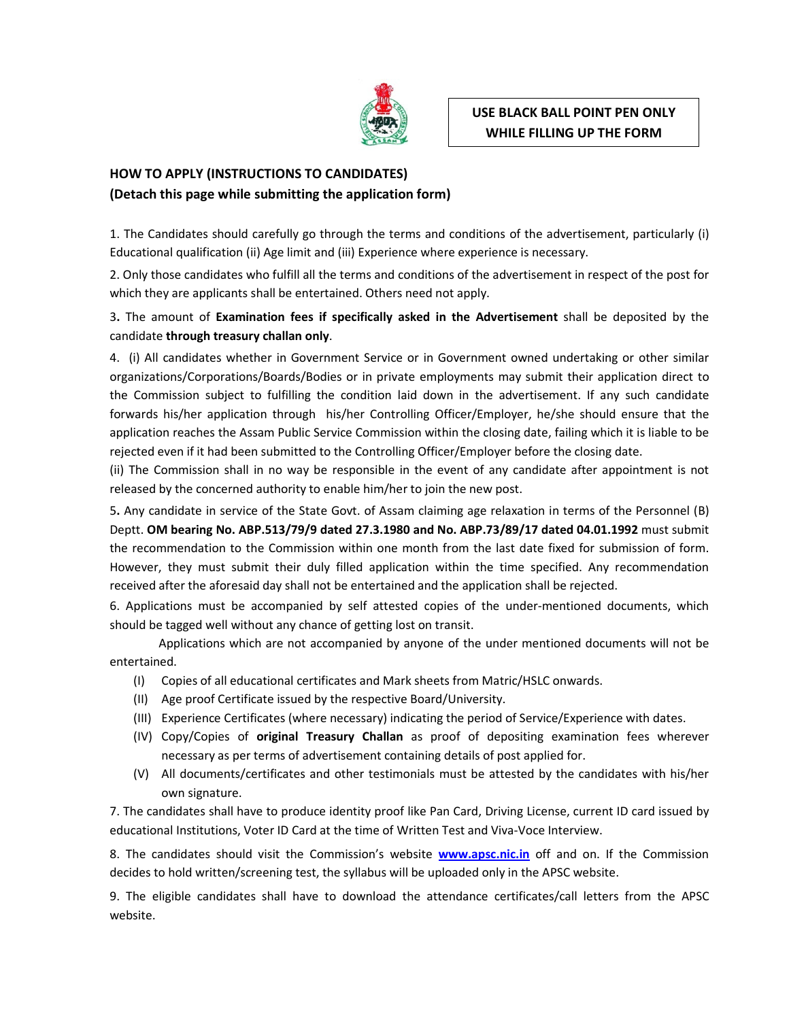

# HOW TO APPLY (INSTRUCTIONS TO CANDIDATES) (Detach this page while submitting the application form)

1. The Candidates should carefully go through the terms and conditions of the advertisement, particularly (i) Educational qualification (ii) Age limit and (iii) Experience where experience is necessary.

2. Only those candidates who fulfill all the terms and conditions of the advertisement in respect of the post for which they are applicants shall be entertained. Others need not apply.

3. The amount of Examination fees if specifically asked in the Advertisement shall be deposited by the candidate through treasury challan only.

4. (i) All candidates whether in Government Service or in Government owned undertaking or other similar organizations/Corporations/Boards/Bodies or in private employments may submit their application direct to the Commission subject to fulfilling the condition laid down in the advertisement. If any such candidate forwards his/her application through his/her Controlling Officer/Employer, he/she should ensure that the application reaches the Assam Public Service Commission within the closing date, failing which it is liable to be rejected even if it had been submitted to the Controlling Officer/Employer before the closing date.

(ii) The Commission shall in no way be responsible in the event of any candidate after appointment is not released by the concerned authority to enable him/her to join the new post.

5. Any candidate in service of the State Govt. of Assam claiming age relaxation in terms of the Personnel (B) Deptt. OM bearing No. ABP.513/79/9 dated 27.3.1980 and No. ABP.73/89/17 dated 04.01.1992 must submit the recommendation to the Commission within one month from the last date fixed for submission of form. However, they must submit their duly filled application within the time specified. Any recommendation received after the aforesaid day shall not be entertained and the application shall be rejected.

6. Applications must be accompanied by self attested copies of the under-mentioned documents, which should be tagged well without any chance of getting lost on transit.

Applications which are not accompanied by anyone of the under mentioned documents will not be entertained.

- (I) Copies of all educational certificates and Mark sheets from Matric/HSLC onwards.
- (II) Age proof Certificate issued by the respective Board/University.
- (III) Experience Certificates (where necessary) indicating the period of Service/Experience with dates.
- (IV) Copy/Copies of original Treasury Challan as proof of depositing examination fees wherever necessary as per terms of advertisement containing details of post applied for.
- (V) All documents/certificates and other testimonials must be attested by the candidates with his/her own signature.

7. The candidates shall have to produce identity proof like Pan Card, Driving License, current ID card issued by educational Institutions, Voter ID Card at the time of Written Test and Viva-Voce Interview.

8. The candidates should visit the Commission's website **www.apsc.nic.in** off and on. If the Commission decides to hold written/screening test, the syllabus will be uploaded only in the APSC website.

9. The eligible candidates shall have to download the attendance certificates/call letters from the APSC website.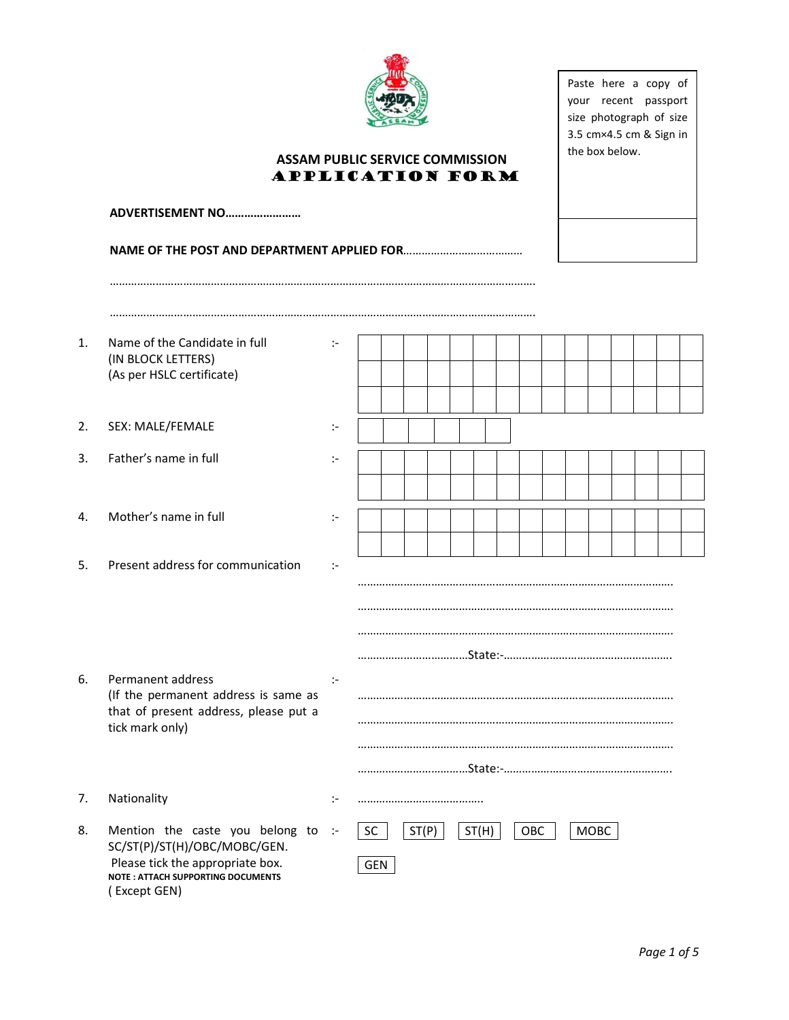

Paste here a copy of your recent passport size photograph of size 3.5 cm×4.5 cm & Sign in the box below.

# ASSAM PUBLIC SERVICE COMMISSION APPLICATION FORM

#### NAME OF THE POST AND DEPARTMENT APPLIED FOR…………………………………

………………………………………………………………………………………………………………………….

………………………………………………………………………………………………………………………….

| 1. | Name of the Candidate in full<br>(IN BLOCK LETTERS)<br>(As per HSLC certificate)                                                                                | ÷                    |                                                   |
|----|-----------------------------------------------------------------------------------------------------------------------------------------------------------------|----------------------|---------------------------------------------------|
|    |                                                                                                                                                                 |                      |                                                   |
| 2. | SEX: MALE/FEMALE                                                                                                                                                | ÷,                   |                                                   |
| 3. | Father's name in full                                                                                                                                           | ÷,                   |                                                   |
|    |                                                                                                                                                                 |                      |                                                   |
| 4. | Mother's name in full                                                                                                                                           | $\ddot{\phantom{1}}$ |                                                   |
|    |                                                                                                                                                                 |                      |                                                   |
| 5. | Present address for communication                                                                                                                               | $\ddot{\phantom{1}}$ |                                                   |
|    |                                                                                                                                                                 |                      |                                                   |
|    |                                                                                                                                                                 |                      |                                                   |
|    |                                                                                                                                                                 |                      |                                                   |
| 6. | Permanent address<br>(If the permanent address is same as                                                                                                       | $\mathbb{R}^2$       |                                                   |
|    | that of present address, please put a<br>tick mark only)                                                                                                        |                      |                                                   |
|    |                                                                                                                                                                 |                      |                                                   |
|    |                                                                                                                                                                 |                      |                                                   |
| 7. | Nationality                                                                                                                                                     | ÷                    |                                                   |
| 8. | Mention the caste you belong to<br>SC/ST(P)/ST(H)/OBC/MOBC/GEN.<br>Please tick the appropriate box.<br><b>NOTE: ATTACH SUPPORTING DOCUMENTS</b><br>(Except GEN) | $\sim$               | SC<br>ST(P)<br>ST(H)<br>MOBC<br>OBC<br><b>GEN</b> |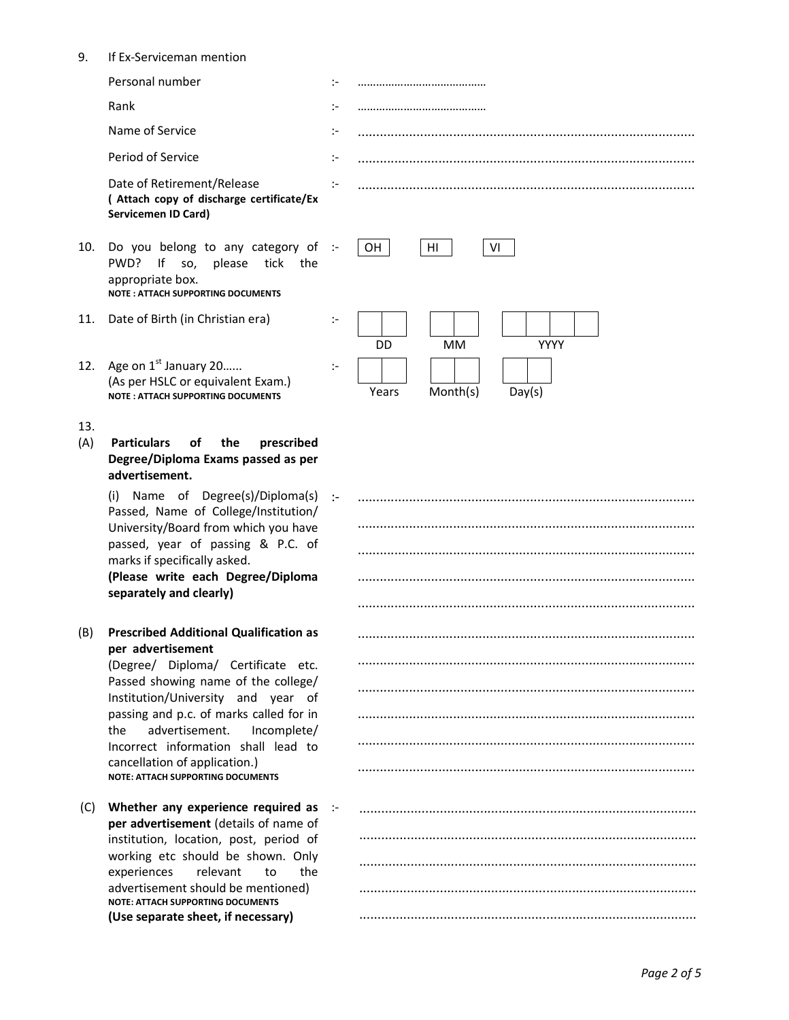9. If Ex-Serviceman mention

Date of Retirement/Release ( Attach copy of discharge certificate/Ex Servicemen ID Card)

- 10. Do you belong to any category of :-PWD? If so, please tick the appropriate box. NOTE : ATTACH SUPPORTING DOCUMENTS
- 11. Date of Birth (in Christian era) :-
- 12. Age on  $1<sup>st</sup>$  January 20...... (As per HSLC or equivalent Exam.) NOTE : ATTACH SUPPORTING DOCUMENTS
- 13.
- (A) Particulars of the prescribed Degree/Diploma Exams passed as per advertisement.

(i) Name of Degree(s)/Diploma(s) Passed, Name of College/Institution/ University/Board from which you have passed, year of passing & P.C. of marks if specifically asked. (Please write each Degree/Diploma separately and clearly)

(B) Prescribed Additional Qualification as per advertisement

(Degree/ Diploma/ Certificate etc. Passed showing name of the college/ Institution/University and year of passing and p.c. of marks called for in the advertisement. Incomplete/ Incorrect information shall lead to cancellation of application.) NOTE: ATTACH SUPPORTING DOCUMENTS

 (C) Whether any experience required as per advertisement (details of name of institution, location, post, period of working etc should be shown. Only experiences relevant to the advertisement should be mentioned) NOTE: ATTACH SUPPORTING DOCUMENTS (Use separate sheet, if necessary)

Personal number :- …………………………………… Rank :- …………………………………… Name of Service **in the Contract of Service** in the Contract of Service in the Contract of Service in the Contract of Service in the Contract of Service in the Contract of Service in the Contract of Service in the Contract Period of Service :- ............................................................................................ :- ............................................................................................



| ፦ |  |
|---|--|
|   |  |
|   |  |
|   |  |
|   |  |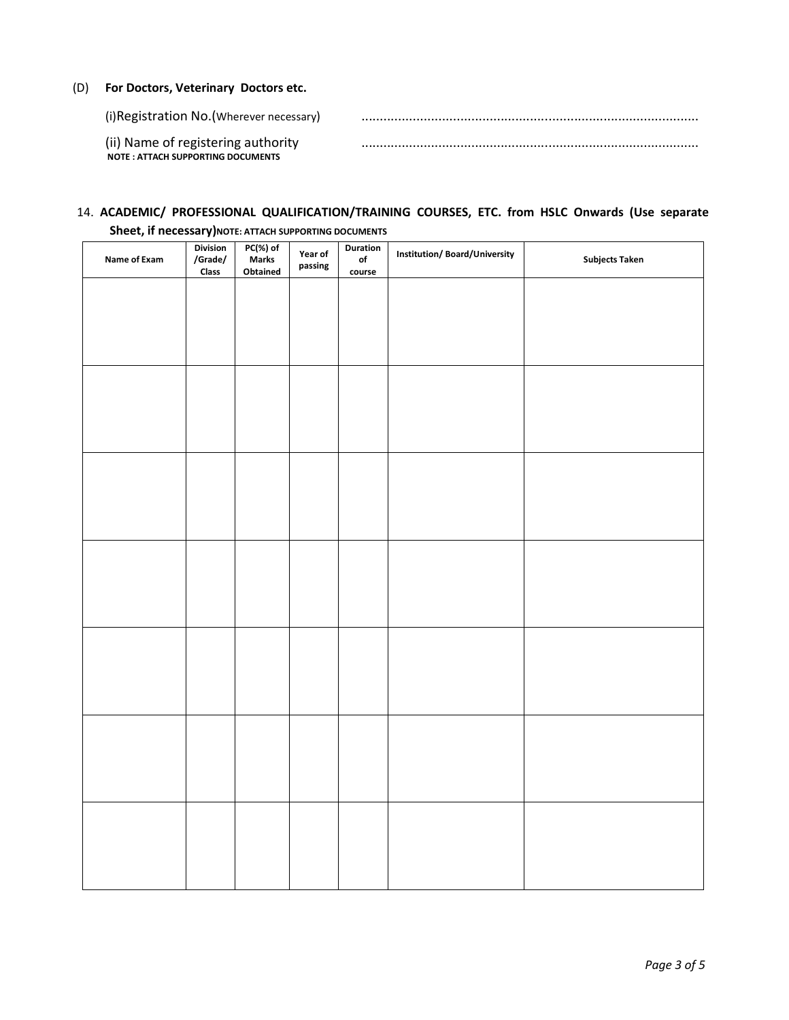### (D) For Doctors, Veterinary Doctors etc.

| (i) Registration No. (Wherever necessary)                                      |  |
|--------------------------------------------------------------------------------|--|
| (ii) Name of registering authority<br><b>NOTE: ATTACH SUPPORTING DOCUMENTS</b> |  |

## 14. ACADEMIC/ PROFESSIONAL QUALIFICATION/TRAINING COURSES, ETC. from HSLC Onwards (Use separate

| Name of Exam | <b>Division</b><br>/Grade/ | PC(%) of<br>Marks<br>Year of<br>passing |  | Duration<br>$_{\mathsf{of}}$ | <b>Institution/Board/University</b> | <b>Subjects Taken</b> |  |
|--------------|----------------------------|-----------------------------------------|--|------------------------------|-------------------------------------|-----------------------|--|
|              | Class                      | Obtained                                |  | course                       |                                     |                       |  |
|              |                            |                                         |  |                              |                                     |                       |  |
|              |                            |                                         |  |                              |                                     |                       |  |
|              |                            |                                         |  |                              |                                     |                       |  |
|              |                            |                                         |  |                              |                                     |                       |  |
|              |                            |                                         |  |                              |                                     |                       |  |
|              |                            |                                         |  |                              |                                     |                       |  |
|              |                            |                                         |  |                              |                                     |                       |  |
|              |                            |                                         |  |                              |                                     |                       |  |
|              |                            |                                         |  |                              |                                     |                       |  |
|              |                            |                                         |  |                              |                                     |                       |  |
|              |                            |                                         |  |                              |                                     |                       |  |
|              |                            |                                         |  |                              |                                     |                       |  |
|              |                            |                                         |  |                              |                                     |                       |  |
|              |                            |                                         |  |                              |                                     |                       |  |
|              |                            |                                         |  |                              |                                     |                       |  |
|              |                            |                                         |  |                              |                                     |                       |  |
|              |                            |                                         |  |                              |                                     |                       |  |
|              |                            |                                         |  |                              |                                     |                       |  |
|              |                            |                                         |  |                              |                                     |                       |  |
|              |                            |                                         |  |                              |                                     |                       |  |
|              |                            |                                         |  |                              |                                     |                       |  |
|              |                            |                                         |  |                              |                                     |                       |  |
|              |                            |                                         |  |                              |                                     |                       |  |
|              |                            |                                         |  |                              |                                     |                       |  |
|              |                            |                                         |  |                              |                                     |                       |  |
|              |                            |                                         |  |                              |                                     |                       |  |
|              |                            |                                         |  |                              |                                     |                       |  |
|              |                            |                                         |  |                              |                                     |                       |  |

Sheet, if necessary) NOTE: ATTACH SUPPORTING DOCUMENTS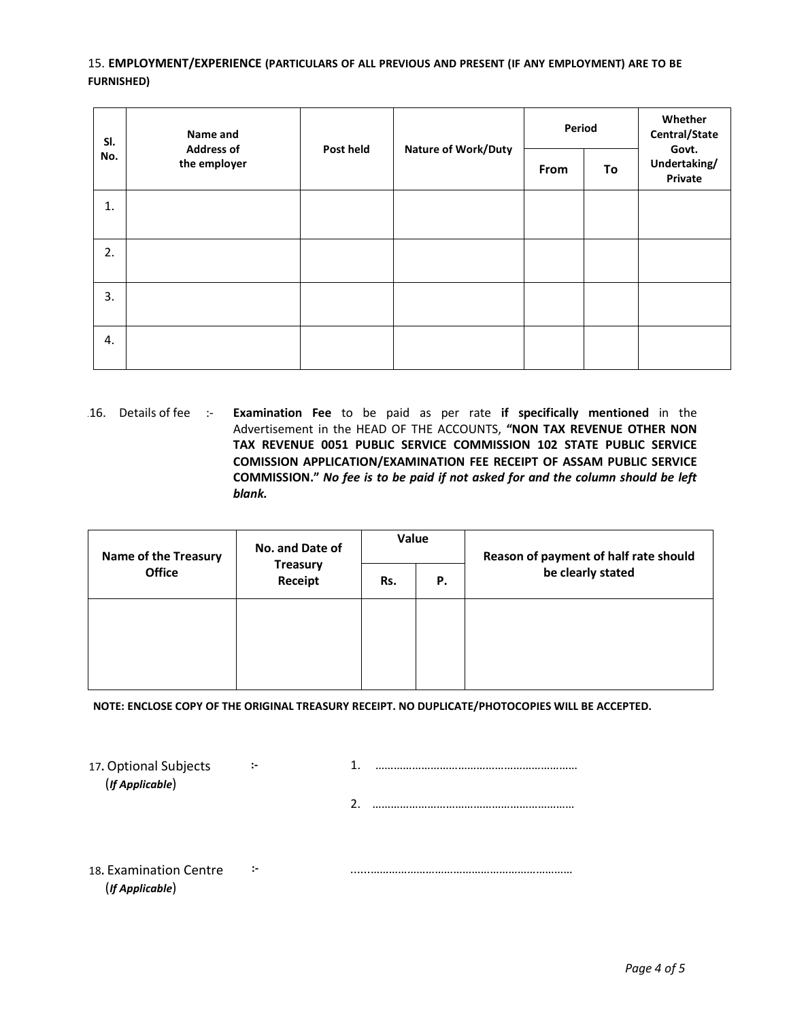### 15. EMPLOYMENT/EXPERIENCE (PARTICULARS OF ALL PREVIOUS AND PRESENT (IF ANY EMPLOYMENT) ARE TO BE FURNISHED)

| SI.<br>No. | Name and<br><b>Address of</b><br>the employer | Post held |                            | Period |    | Whether<br>Central/State<br>Govt. |
|------------|-----------------------------------------------|-----------|----------------------------|--------|----|-----------------------------------|
|            |                                               |           | <b>Nature of Work/Duty</b> | From   | To | Undertaking/<br>Private           |
| 1.         |                                               |           |                            |        |    |                                   |
| 2.         |                                               |           |                            |        |    |                                   |
| 3.         |                                               |           |                            |        |    |                                   |
| 4.         |                                               |           |                            |        |    |                                   |

16. Details of fee :- Examination Fee to be paid as per rate if specifically mentioned in the Advertisement in the HEAD OF THE ACCOUNTS, "NON TAX REVENUE OTHER NON TAX REVENUE 0051 PUBLIC SERVICE COMMISSION 102 STATE PUBLIC SERVICE COMISSION APPLICATION/EXAMINATION FEE RECEIPT OF ASSAM PUBLIC SERVICE COMMISSION." No fee is to be paid if not asked for and the column should be left blank.

| <b>Name of the Treasury</b> | No. and Date of            | Value |    | Reason of payment of half rate should |  |
|-----------------------------|----------------------------|-------|----|---------------------------------------|--|
| <b>Office</b>               | <b>Treasury</b><br>Receipt | Rs.   | Ρ. | be clearly stated                     |  |
|                             |                            |       |    |                                       |  |
|                             |                            |       |    |                                       |  |
|                             |                            |       |    |                                       |  |

NOTE: ENCLOSE COPY OF THE ORIGINAL TREASURY RECEIPT. NO DUPLICATE/PHOTOCOPIES WILL BE ACCEPTED.

17. Optional Subjects (If Applicable)

:- 1. …………………………………………………………

2. …………………………………………………………

18. Examination Centre (If Applicable)

:- ......…………………………………………………………

Page 4 of 5